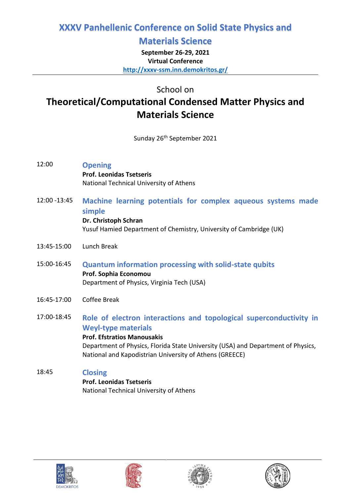# **XXXV Panhellenic Conference on Solid State Physics and**

## **Materials Science**

**September 26-29, 2021 Virtual Conference <http://xxxv-ssm.inn.demokritos.gr/>**

School on

# **Theoretical/Computational Condensed Matter Physics and Materials Science**

Sunday 26<sup>th</sup> September 2021

- 12:00 **Opening Prof. Leonidas Tsetseris**  National Technical University of Athens
- 12:00 -13:45 **Machine learning potentials for complex aqueous systems made simple Dr. Christoph Schran** Yusuf Hamied Department of Chemistry, University of Cambridge (UK)
- 13:45-15:00 Lunch Break
- 15:00-16:45 **Quantum information processing with solid-state qubits Prof. Sophia Economou** Department of Physics, Virginia Tech (USA)
- 16:45-17:00 Coffee Break
- 17:00-18:45 **Role of electron interactions and topological superconductivity in Weyl-type materials Prof. Efstratios Manousakis**  Department of Physics, Florida State University (USA) and Department of Physics, National and Kapodistrian University of Athens (GREECE)

## 18:45 **Closing**

**Prof. Leonidas Tsetseris**  National Technical University of Athens







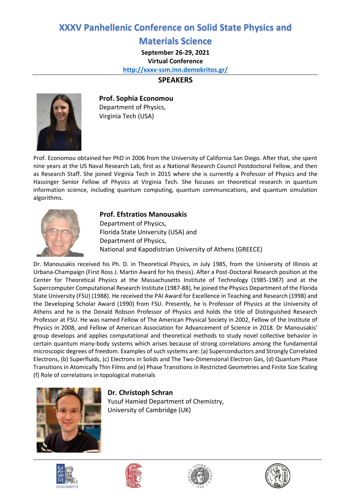## **XXXV Panhellenic Conference on Solid State Physics and**

### **Materials Science**

**September 26-29, 2021**

**Virtual Conference**

**<http://xxxv-ssm.inn.demokritos.gr/>**

### **SPEAKERS**



**Prof. Sophia Economou** Department of Physics, Virginia Tech (USA)

Prof. Economou obtained her PhD in 2006 from the University of California San Diego. After that, she spent nine years at the US Naval Research Lab, first as a National Research Council Postdoctoral Fellow, and then as Research Staff. She joined Virginia Tech in 2015 where she is currently a Professor of Physics and the Hassinger Senior Fellow of Physics at Virginia Tech. She focuses on theoretical research in quantum information science, including quantum computing, quantum communications, and quantum simulation algorithms.



#### **Prof. Efstratios Manousakis**

Department of Physics, Florida State University (USA) and Department of Physics, National and Kapodistrian University of Athens (GREECE)

Dr. Manousakis received his Ph. D. in Theoretical Physics, in July 1985, from the University of Illinois at Urbana-Champaign (First Ross J. Martin Award for his thesis). After a Post-Doctoral Research position at the Center for Theoretical Physics at the Massachusetts Institute of Technology (1985-1987) and at the Supercomputer Computational Research Institute (1987-88), he joined the Physics Department of the Florida State University (FSU) (1988). He received the PAI Award for Excellence in Teaching and Research (1998) and the Developing Scholar Award (1990) from FSU. Presently, he is Professor of Physics at the University of Athens and he is the Donald Robson Professor of Physics and holds the title of Distinguished Research Professor at FSU. He was named Fellow of The American Physical Society in 2002, Fellow of the Institute of Physics in 2008, and Fellow of American Association for Advancement of Science in 2018. Dr Manousakis' group develops and applies computational and theoretical methods to study novel collective behavior in certain quantum many-body systems which arises because of strong correlations among the fundamental microscopic degrees of freedom. Examples of such systems are: (a) Superconductors and Strongly Correlated Electrons, (b) Superfluids, (c) Electrons in Solids and The Two-Dimensional Electron Gas, (d) Quantum Phase Transitions in Atomically Thin Films and (e) Phase Transitions in Restricted Geometries and Finite Size Scaling (f) Role of correlations in topological materials



### **Dr. Christoph Schran**

Yusuf Hamied Department of Chemistry, University of Cambridge (UK)